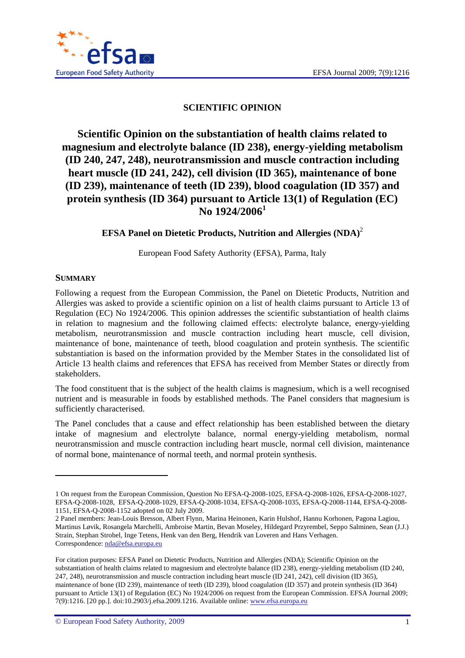

## **SCIENTIFIC OPINION**

# **Scientific Opinion on the substantiation of health claims related to magnesium and electrolyte balance (ID 238), energy-yielding metabolism (ID 240, 247, 248), neurotransmission and muscle contraction including heart muscle (ID 241, 242), cell division (ID 365), maintenance of bone (ID 239), maintenance of teeth (ID 239), blood coagulation (ID 357) and protein synthesis (ID 364) pursuant to Article 13(1) of Regulation (EC) No 1924/2006<sup>1</sup>**

## **EFSA Panel on Dietetic Products, Nutrition and Allergies (NDA)**<sup>2</sup>

European Food Safety Authority (EFSA), Parma, Italy

## <span id="page-0-0"></span>**SUMMARY**

l

Following a request from the European Commission, the Panel on Dietetic Products, Nutrition and Allergies was asked to provide a scientific opinion on a list of health claims pursuant to Article 13 of Regulation (EC) No 1924/2006. This opinion addresses the scientific substantiation of health claims in relation to magnesium and the following claimed effects: electrolyte balance, energy-yielding metabolism, neurotransmission and muscle contraction including heart muscle, cell division, maintenance of bone, maintenance of teeth, blood coagulation and protein synthesis. The scientific substantiation is based on the information provided by the Member States in the consolidated list of Article 13 health claims and references that EFSA has received from Member States or directly from stakeholders.

The food constituent that is the subject of the health claims is magnesium, which is a well recognised nutrient and is measurable in foods by established methods. The Panel considers that magnesium is sufficiently characterised.

The Panel concludes that a cause and effect relationship has been established between the dietary intake of magnesium and electrolyte balance, normal energy-yielding metabolism, normal neurotransmission and muscle contraction including heart muscle, normal cell division, maintenance of normal bone, maintenance of normal teeth, and normal protein synthesis.

<sup>1</sup> On request from the European Commission, Question No EFSA-Q-2008-1025, EFSA-Q-2008-1026, EFSA-Q-2008-1027, EFSA-Q-2008-1028, EFSA-Q-2008-1029, EFSA-Q-2008-1034, EFSA-Q-2008-1035, EFSA-Q-2008-1144, EFSA-Q-2008- 1151, EFSA-Q-2008-1152 adopted on 02 July 2009.

<sup>2</sup> Panel members: Jean-Louis Bresson, Albert Flynn, Marina Heinonen, Karin Hulshof, Hannu Korhonen, Pagona Lagiou, Martinus Løvik, Rosangela Marchelli, Ambroise Martin, Bevan Moseley, Hildegard Przyrembel, Seppo Salminen, Sean (J.J.) Strain, Stephan Strobel, Inge Tetens, Henk van den Berg, Hendrik van Loveren and Hans Verhagen. Correspondence[: nda@efsa.europa.eu](mailto:nda@efsa.europa.eu)

For citation purposes: EFSA Panel on Dietetic Products, Nutrition and Allergies (NDA); Scientific Opinion on the substantiation of health claims related to magnesium and electrolyte balance (ID 238), energy-yielding metabolism (ID 240, 247, 248), neurotransmission and muscle contraction including heart muscle (ID 241, 242), cell division (ID 365), maintenance of bone (ID 239), maintenance of teeth (ID 239), blood coagulation (ID 357) and protein synthesis (ID 364) pursuant to Article 13(1) of Regulation (EC) No 1924/2006 on request from the European Commission. EFSA Journal 2009; 7(9):1216. [20 pp.]. doi:10.2903/j.efsa.2009.1216. Available online: www.efsa.europa.eu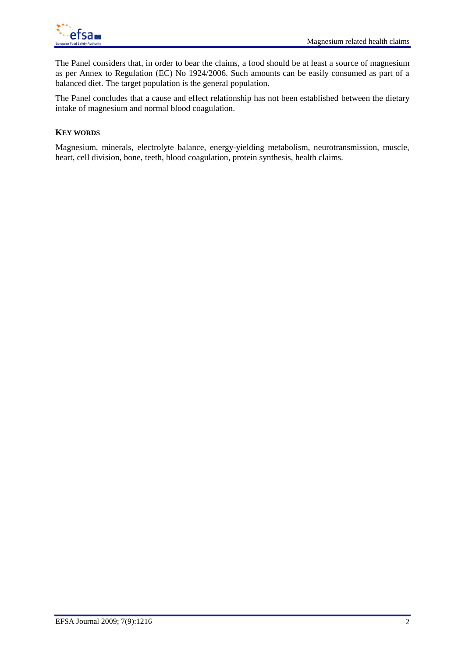

The Panel considers that, in order to bear the claims, a food should be at least a source of magnesium as per Annex to Regulation (EC) No 1924/2006. Such amounts can be easily consumed as part of a balanced diet. The target population is the general population.

The Panel concludes that a cause and effect relationship has not been established between the dietary intake of magnesium and normal blood coagulation.

## **KEY WORDS**

Magnesium, minerals, electrolyte balance, energy-yielding metabolism, neurotransmission, muscle, heart, cell division, bone, teeth, blood coagulation, protein synthesis, health claims.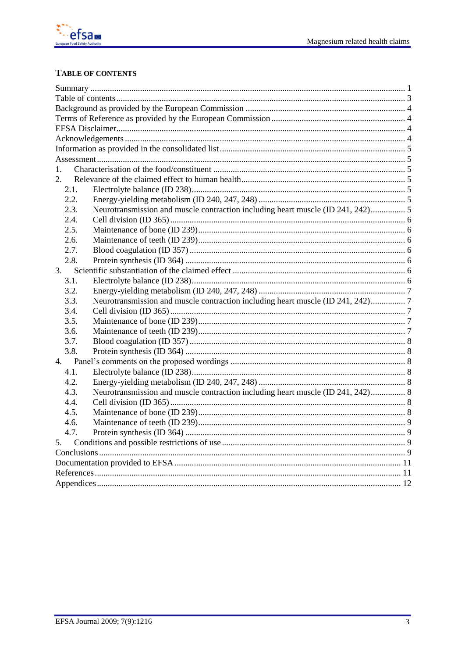

## <span id="page-2-0"></span>TABLE OF CONTENTS

| $1_{-}$ |                                                                                 |  |  |  |
|---------|---------------------------------------------------------------------------------|--|--|--|
| 2.      |                                                                                 |  |  |  |
| 2.1.    |                                                                                 |  |  |  |
| 2.2.    |                                                                                 |  |  |  |
| 2.3.    | Neurotransmission and muscle contraction including heart muscle (ID 241, 242) 5 |  |  |  |
| 2.4.    |                                                                                 |  |  |  |
| 2.5.    |                                                                                 |  |  |  |
| 2.6.    |                                                                                 |  |  |  |
| 2.7.    |                                                                                 |  |  |  |
| 2.8.    |                                                                                 |  |  |  |
| 3.      |                                                                                 |  |  |  |
| 3.1.    |                                                                                 |  |  |  |
| 3.2.    |                                                                                 |  |  |  |
| 3.3.    |                                                                                 |  |  |  |
| 3.4.    |                                                                                 |  |  |  |
| 3.5.    |                                                                                 |  |  |  |
| 3.6.    |                                                                                 |  |  |  |
| 3.7.    |                                                                                 |  |  |  |
| 3.8.    |                                                                                 |  |  |  |
| 4.      |                                                                                 |  |  |  |
| 4.1.    |                                                                                 |  |  |  |
| 4.2.    |                                                                                 |  |  |  |
| 4.3.    | Neurotransmission and muscle contraction including heart muscle (ID 241, 242) 8 |  |  |  |
| 4.4.    |                                                                                 |  |  |  |
| 4.5.    |                                                                                 |  |  |  |
| 4.6.    |                                                                                 |  |  |  |
| 4.7.    |                                                                                 |  |  |  |
| 5.      |                                                                                 |  |  |  |
|         |                                                                                 |  |  |  |
|         |                                                                                 |  |  |  |
|         |                                                                                 |  |  |  |
|         |                                                                                 |  |  |  |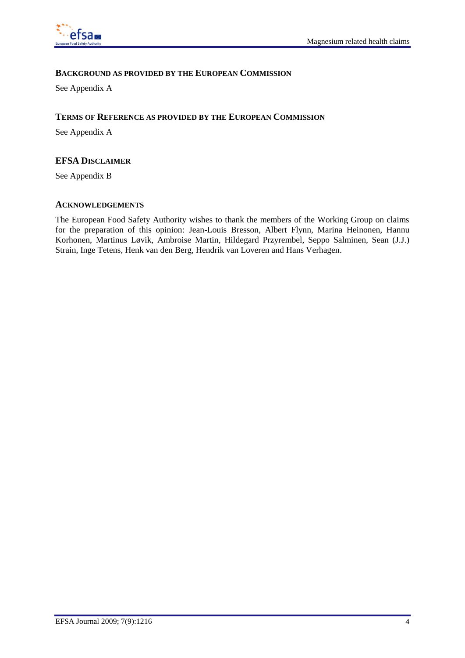

## <span id="page-3-0"></span>**BACKGROUND AS PROVIDED BY THE EUROPEAN COMMISSION**

See Appendix A

## <span id="page-3-1"></span>**TERMS OF REFERENCE AS PROVIDED BY THE EUROPEAN COMMISSION**

See Appendix A

## <span id="page-3-2"></span>**EFSA DISCLAIMER**

See Appendix B

## <span id="page-3-3"></span>**ACKNOWLEDGEMENTS**

The European Food Safety Authority wishes to thank the members of the Working Group on claims for the preparation of this opinion: Jean-Louis Bresson, Albert Flynn, Marina Heinonen, Hannu Korhonen, Martinus Løvik, Ambroise Martin, Hildegard Przyrembel, Seppo Salminen, Sean (J.J.) Strain, Inge Tetens, Henk van den Berg, Hendrik van Loveren and Hans Verhagen.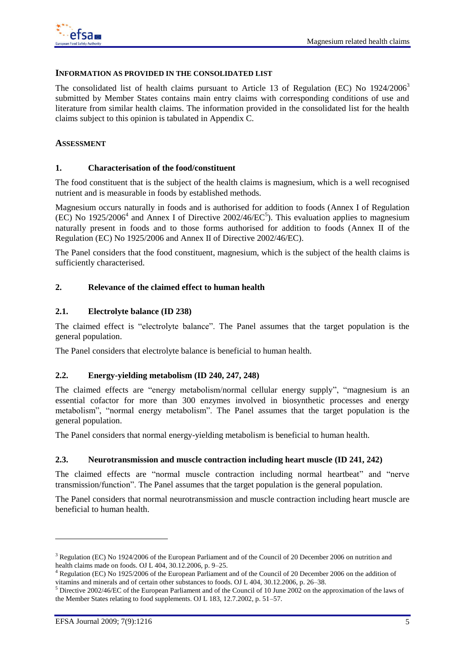

#### <span id="page-4-0"></span>**INFORMATION AS PROVIDED IN THE CONSOLIDATED LIST**

The consolidated list of health claims pursuant to Article 13 of Regulation (EC) No 1924/2006<sup>3</sup> submitted by Member States contains main entry claims with corresponding conditions of use and literature from similar health claims. The information provided in the consolidated list for the health claims subject to this opinion is tabulated in Appendix C.

### <span id="page-4-1"></span>**ASSESSMENT**

#### <span id="page-4-2"></span>**1. Characterisation of the food/constituent**

The food constituent that is the subject of the health claims is magnesium, which is a well recognised nutrient and is measurable in foods by established methods.

Magnesium occurs naturally in foods and is authorised for addition to foods (Annex I of Regulation  $(EC)$  No 1925/2006<sup>4</sup> and Annex I of Directive 2002/46/ $EC^5$ ). This evaluation applies to magnesium naturally present in foods and to those forms authorised for addition to foods (Annex II of the Regulation (EC) No 1925/2006 and Annex II of Directive 2002/46/EC).

The Panel considers that the food constituent, magnesium, which is the subject of the health claims is sufficiently characterised.

#### <span id="page-4-3"></span>**2. Relevance of the claimed effect to human health**

#### <span id="page-4-4"></span>**2.1. Electrolyte balance (ID 238)**

The claimed effect is "electrolyte balance". The Panel assumes that the target population is the general population.

The Panel considers that electrolyte balance is beneficial to human health.

#### <span id="page-4-5"></span>**2.2. Energy-yielding metabolism (ID 240, 247, 248)**

The claimed effects are "energy metabolism/normal cellular energy supply", "magnesium is an essential cofactor for more than 300 enzymes involved in biosynthetic processes and energy metabolism", "normal energy metabolism". The Panel assumes that the target population is the general population.

The Panel considers that normal energy-yielding metabolism is beneficial to human health.

#### <span id="page-4-6"></span>**2.3. Neurotransmission and muscle contraction including heart muscle (ID 241, 242)**

The claimed effects are "normal muscle contraction including normal heartbeat" and "nerve transmission/function". The Panel assumes that the target population is the general population.

The Panel considers that normal neurotransmission and muscle contraction including heart muscle are beneficial to human health.

 $\overline{a}$ 

<sup>&</sup>lt;sup>3</sup> Regulation (EC) No 1924/2006 of the European Parliament and of the Council of 20 December 2006 on nutrition and health claims made on foods. OJ L 404, 30.12.2006, p. 9–25.

<sup>4</sup> Regulation (EC) No 1925/2006 of the European Parliament and of the Council of 20 December 2006 on the addition of vitamins and minerals and of certain other substances to foods. OJ L 404, 30.12.2006, p. 26–38.

<sup>5</sup> Directive 2002/46/EC of the European Parliament and of the Council of 10 June 2002 on the approximation of the laws of the Member States relating to food supplements. OJ L 183, 12.7.2002, p. 51–57.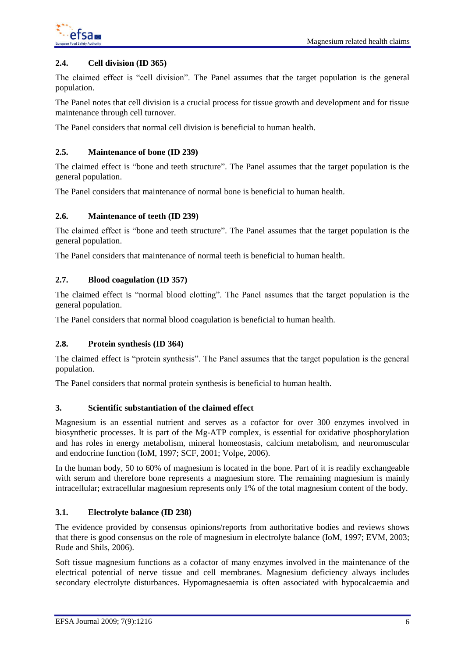

## **2.4. Cell division (ID 365)**

<span id="page-5-0"></span>The claimed effect is "cell division". The Panel assumes that the target population is the general population.

The Panel notes that cell division is a crucial process for tissue growth and development and for tissue maintenance through cell turnover.

The Panel considers that normal cell division is beneficial to human health.

## <span id="page-5-1"></span>**2.5. Maintenance of bone (ID 239)**

The claimed effect is "bone and teeth structure". The Panel assumes that the target population is the general population.

The Panel considers that maintenance of normal bone is beneficial to human health.

## <span id="page-5-2"></span>**2.6. Maintenance of teeth (ID 239)**

The claimed effect is "bone and teeth structure". The Panel assumes that the target population is the general population.

The Panel considers that maintenance of normal teeth is beneficial to human health.

## <span id="page-5-3"></span>**2.7. Blood coagulation (ID 357)**

The claimed effect is "normal blood clotting". The Panel assumes that the target population is the general population.

The Panel considers that normal blood coagulation is beneficial to human health.

#### <span id="page-5-4"></span>**2.8. Protein synthesis (ID 364)**

The claimed effect is "protein synthesis". The Panel assumes that the target population is the general population.

The Panel considers that normal protein synthesis is beneficial to human health.

#### <span id="page-5-5"></span>**3. Scientific substantiation of the claimed effect**

Magnesium is an essential nutrient and serves as a cofactor for over 300 enzymes involved in biosynthetic processes. It is part of the Mg-ATP complex, is essential for oxidative phosphorylation and has roles in energy metabolism, mineral homeostasis, calcium metabolism, and neuromuscular and endocrine function (IoM, 1997; SCF, 2001; Volpe, 2006).

In the human body, 50 to 60% of magnesium is located in the bone. Part of it is readily exchangeable with serum and therefore bone represents a magnesium store. The remaining magnesium is mainly intracellular; extracellular magnesium represents only 1% of the total magnesium content of the body.

#### <span id="page-5-6"></span>**3.1. Electrolyte balance (ID 238)**

The evidence provided by consensus opinions/reports from authoritative bodies and reviews shows that there is good consensus on the role of magnesium in electrolyte balance (IoM, 1997; EVM, 2003; Rude and Shils, 2006).

Soft tissue magnesium functions as a cofactor of many enzymes involved in the maintenance of the electrical potential of nerve tissue and cell membranes. Magnesium deficiency always includes secondary electrolyte disturbances. Hypomagnesaemia is often associated with hypocalcaemia and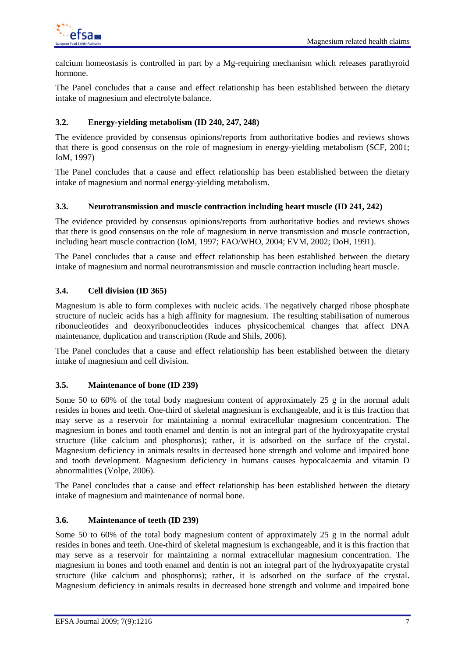

calcium homeostasis is controlled in part by a Mg-requiring mechanism which releases parathyroid hormone.

The Panel concludes that a cause and effect relationship has been established between the dietary intake of magnesium and electrolyte balance.

## <span id="page-6-0"></span>**3.2. Energy-yielding metabolism (ID 240, 247, 248)**

The evidence provided by consensus opinions/reports from authoritative bodies and reviews shows that there is good consensus on the role of magnesium in energy-yielding metabolism (SCF, 2001; IoM, 1997)

The Panel concludes that a cause and effect relationship has been established between the dietary intake of magnesium and normal energy-yielding metabolism.

## <span id="page-6-1"></span>**3.3. Neurotransmission and muscle contraction including heart muscle (ID 241, 242)**

The evidence provided by consensus opinions/reports from authoritative bodies and reviews shows that there is good consensus on the role of magnesium in nerve transmission and muscle contraction, including heart muscle contraction (IoM, 1997; FAO/WHO, 2004; EVM, 2002; DoH, 1991).

The Panel concludes that a cause and effect relationship has been established between the dietary intake of magnesium and normal neurotransmission and muscle contraction including heart muscle.

## <span id="page-6-2"></span>**3.4. Cell division (ID 365)**

Magnesium is able to form complexes with nucleic acids. The negatively charged ribose phosphate structure of nucleic acids has a high affinity for magnesium. The resulting stabilisation of numerous ribonucleotides and deoxyribonucleotides induces physicochemical changes that affect DNA maintenance, duplication and transcription (Rude and Shils, 2006).

The Panel concludes that a cause and effect relationship has been established between the dietary intake of magnesium and cell division.

## <span id="page-6-3"></span>**3.5. Maintenance of bone (ID 239)**

Some 50 to 60% of the total body magnesium content of approximately 25 g in the normal adult resides in bones and teeth. One-third of skeletal magnesium is exchangeable, and it is this fraction that may serve as a reservoir for maintaining a normal extracellular magnesium concentration. The magnesium in bones and tooth enamel and dentin is not an integral part of the hydroxyapatite crystal structure (like calcium and phosphorus); rather, it is adsorbed on the surface of the crystal. Magnesium deficiency in animals results in decreased bone strength and volume and impaired bone and tooth development. Magnesium deficiency in humans causes hypocalcaemia and vitamin D abnormalities (Volpe, 2006).

The Panel concludes that a cause and effect relationship has been established between the dietary intake of magnesium and maintenance of normal bone.

## <span id="page-6-4"></span>**3.6. Maintenance of teeth (ID 239)**

Some 50 to 60% of the total body magnesium content of approximately 25 g in the normal adult resides in bones and teeth. One-third of skeletal magnesium is exchangeable, and it is this fraction that may serve as a reservoir for maintaining a normal extracellular magnesium concentration. The magnesium in bones and tooth enamel and dentin is not an integral part of the hydroxyapatite crystal structure (like calcium and phosphorus); rather, it is adsorbed on the surface of the crystal. Magnesium deficiency in animals results in decreased bone strength and volume and impaired bone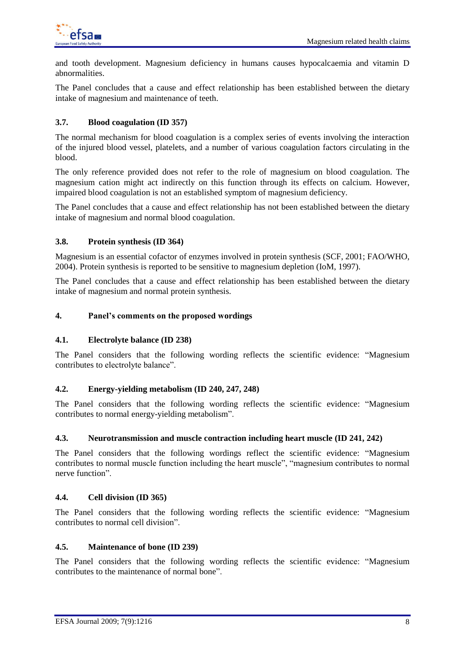

and tooth development. Magnesium deficiency in humans causes hypocalcaemia and vitamin D abnormalities.

The Panel concludes that a cause and effect relationship has been established between the dietary intake of magnesium and maintenance of teeth.

## <span id="page-7-0"></span>**3.7. Blood coagulation (ID 357)**

The normal mechanism for blood coagulation is a complex series of events involving the interaction of the injured blood vessel, platelets, and a number of various coagulation factors circulating in the blood.

The only reference provided does not refer to the role of magnesium on blood coagulation. The magnesium cation might act indirectly on this function through its effects on calcium. However, impaired blood coagulation is not an established symptom of magnesium deficiency.

The Panel concludes that a cause and effect relationship has not been established between the dietary intake of magnesium and normal blood coagulation.

## <span id="page-7-1"></span>**3.8. Protein synthesis (ID 364)**

Magnesium is an essential cofactor of enzymes involved in protein synthesis (SCF, 2001; FAO/WHO, 2004). Protein synthesis is reported to be sensitive to magnesium depletion (IoM, 1997).

The Panel concludes that a cause and effect relationship has been established between the dietary intake of magnesium and normal protein synthesis.

## <span id="page-7-2"></span>**4. Panel's comments on the proposed wordings**

## <span id="page-7-3"></span>**4.1. Electrolyte balance (ID 238)**

The Panel considers that the following wording reflects the scientific evidence: "Magnesium contributes to electrolyte balance".

#### <span id="page-7-4"></span>**4.2. Energy-yielding metabolism (ID 240, 247, 248)**

The Panel considers that the following wording reflects the scientific evidence: "Magnesium contributes to normal energy-yielding metabolism".

#### <span id="page-7-5"></span>**4.3. Neurotransmission and muscle contraction including heart muscle (ID 241, 242)**

The Panel considers that the following wordings reflect the scientific evidence: "Magnesium contributes to normal muscle function including the heart muscle", "magnesium contributes to normal nerve function".

#### <span id="page-7-6"></span>**4.4. Cell division (ID 365)**

The Panel considers that the following wording reflects the scientific evidence: "Magnesium contributes to normal cell division".

#### <span id="page-7-7"></span>**4.5. Maintenance of bone (ID 239)**

The Panel considers that the following wording reflects the scientific evidence: "Magnesium contributes to the maintenance of normal bone".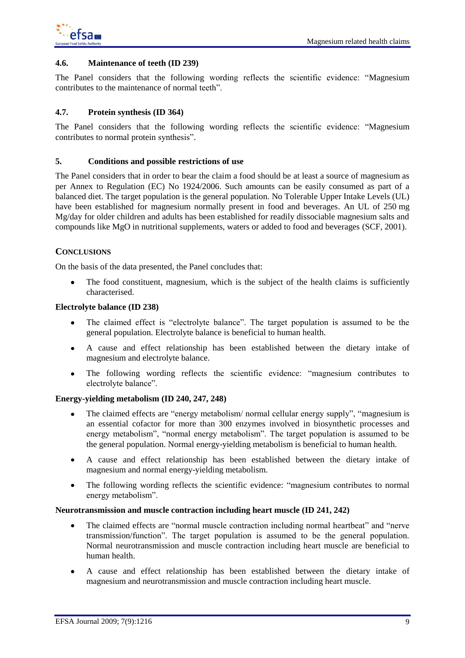

### **4.6. Maintenance of teeth (ID 239)**

<span id="page-8-0"></span>The Panel considers that the following wording reflects the scientific evidence: "Magnesium contributes to the maintenance of normal teeth".

## <span id="page-8-1"></span>**4.7. Protein synthesis (ID 364)**

The Panel considers that the following wording reflects the scientific evidence: "Magnesium contributes to normal protein synthesis".

#### <span id="page-8-2"></span>**5. Conditions and possible restrictions of use**

The Panel considers that in order to bear the claim a food should be at least a source of magnesium as per Annex to Regulation (EC) No 1924/2006. Such amounts can be easily consumed as part of a balanced diet. The target population is the general population. No Tolerable Upper Intake Levels (UL) have been established for magnesium normally present in food and beverages. An UL of 250 mg Mg/day for older children and adults has been established for readily dissociable magnesium salts and compounds like MgO in nutritional supplements, waters or added to food and beverages (SCF, 2001).

#### <span id="page-8-3"></span>**CONCLUSIONS**

On the basis of the data presented, the Panel concludes that:

The food constituent, magnesium, which is the subject of the health claims is sufficiently  $\bullet$ characterised.

#### **Electrolyte balance (ID 238)**

- The claimed effect is "electrolyte balance". The target population is assumed to be the general population. Electrolyte balance is beneficial to human health.
- A cause and effect relationship has been established between the dietary intake of  $\bullet$ magnesium and electrolyte balance.
- The following wording reflects the scientific evidence: "magnesium contributes to  $\bullet$ electrolyte balance".

#### **Energy-yielding metabolism (ID 240, 247, 248)**

- The claimed effects are "energy metabolism/ normal cellular energy supply", "magnesium is an essential cofactor for more than 300 enzymes involved in biosynthetic processes and energy metabolism", "normal energy metabolism". The target population is assumed to be the general population. Normal energy-yielding metabolism is beneficial to human health.
- A cause and effect relationship has been established between the dietary intake of  $\bullet$ magnesium and normal energy-yielding metabolism.
- The following wording reflects the scientific evidence: "magnesium contributes to normal  $\bullet$ energy metabolism".

#### **Neurotransmission and muscle contraction including heart muscle (ID 241, 242)**

- The claimed effects are "normal muscle contraction including normal heartbeat" and "nerve  $\bullet$ transmission/function". The target population is assumed to be the general population. Normal neurotransmission and muscle contraction including heart muscle are beneficial to human health.
- A cause and effect relationship has been established between the dietary intake of  $\bullet$ magnesium and neurotransmission and muscle contraction including heart muscle.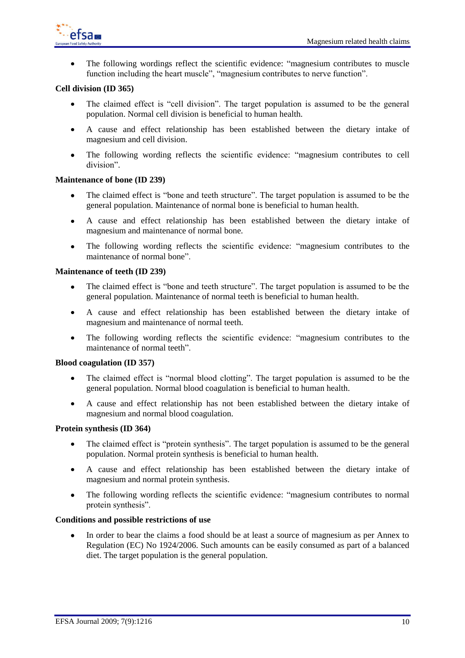

The following wordings reflect the scientific evidence: "magnesium contributes to muscle  $\bullet$ function including the heart muscle", "magnesium contributes to nerve function".

## **Cell division (ID 365)**

- The claimed effect is "cell division". The target population is assumed to be the general  $\bullet$ population. Normal cell division is beneficial to human health.
- A cause and effect relationship has been established between the dietary intake of  $\bullet$ magnesium and cell division.
- The following wording reflects the scientific evidence: "magnesium contributes to cell  $\bullet$ division".

## **Maintenance of bone (ID 239)**

- The claimed effect is "bone and teeth structure". The target population is assumed to be the general population. Maintenance of normal bone is beneficial to human health.
- A cause and effect relationship has been established between the dietary intake of  $\bullet$ magnesium and maintenance of normal bone.
- The following wording reflects the scientific evidence: "magnesium contributes to the  $\blacksquare$ maintenance of normal bone".

## **Maintenance of teeth (ID 239)**

- The claimed effect is "bone and teeth structure". The target population is assumed to be the general population. Maintenance of normal teeth is beneficial to human health.
- A cause and effect relationship has been established between the dietary intake of  $\bullet$ magnesium and maintenance of normal teeth.
- $\bullet$ The following wording reflects the scientific evidence: "magnesium contributes to the maintenance of normal teeth".

#### **Blood coagulation (ID 357)**

- The claimed effect is "normal blood clotting". The target population is assumed to be the  $\bullet$ general population. Normal blood coagulation is beneficial to human health.
- A cause and effect relationship has not been established between the dietary intake of  $\bullet$ magnesium and normal blood coagulation.

### **Protein synthesis (ID 364)**

- The claimed effect is "protein synthesis". The target population is assumed to be the general  $\bullet$ population. Normal protein synthesis is beneficial to human health.
- A cause and effect relationship has been established between the dietary intake of  $\bullet$ magnesium and normal protein synthesis.
- The following wording reflects the scientific evidence: "magnesium contributes to normal  $\bullet$ protein synthesis".

#### **Conditions and possible restrictions of use**

In order to bear the claims a food should be at least a source of magnesium as per Annex to Regulation (EC) No 1924/2006. Such amounts can be easily consumed as part of a balanced diet. The target population is the general population.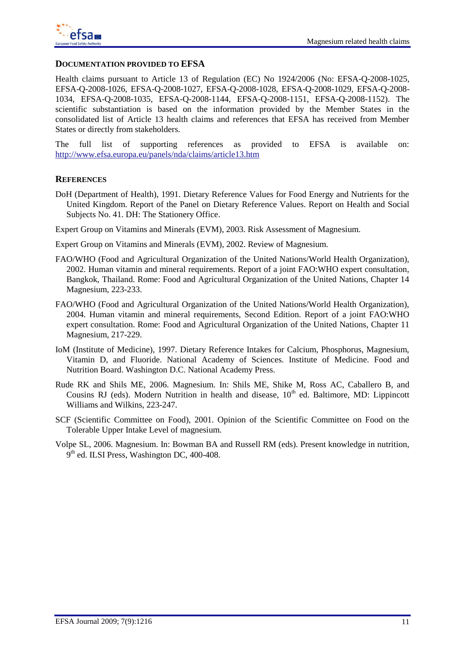



## **DOCUMENTATION PROVIDED TO EFSA**

<span id="page-10-0"></span>Health claims pursuant to Article 13 of Regulation (EC) No 1924/2006 (No: EFSA-Q-2008-1025, EFSA-Q-2008-1026, EFSA-Q-2008-1027, EFSA-Q-2008-1028, EFSA-Q-2008-1029, EFSA-Q-2008- 1034, EFSA-Q-2008-1035, EFSA-Q-2008-1144, EFSA-Q-2008-1151, EFSA-Q-2008-1152). The scientific substantiation is based on the information provided by the Member States in the consolidated list of Article 13 health claims and references that EFSA has received from Member States or directly from stakeholders.

The full list of supporting references as provided to EFSA is available on: <http://www.efsa.europa.eu/panels/nda/claims/article13.htm>

## <span id="page-10-1"></span>**REFERENCES**

- DoH (Department of Health), 1991. Dietary Reference Values for Food Energy and Nutrients for the United Kingdom. Report of the Panel on Dietary Reference Values. Report on Health and Social Subjects No. 41. DH: The Stationery Office.
- Expert Group on Vitamins and Minerals (EVM), 2003. Risk Assessment of Magnesium.
- Expert Group on Vitamins and Minerals (EVM), 2002. Review of Magnesium.
- FAO/WHO (Food and Agricultural Organization of the United Nations/World Health Organization), 2002. Human vitamin and mineral requirements. Report of a joint FAO:WHO expert consultation, Bangkok, Thailand. Rome: Food and Agricultural Organization of the United Nations, Chapter 14 Magnesium, 223-233.
- FAO/WHO (Food and Agricultural Organization of the United Nations/World Health Organization), 2004. Human vitamin and mineral requirements, Second Edition. Report of a joint FAO:WHO expert consultation. Rome: Food and Agricultural Organization of the United Nations, Chapter 11 Magnesium, 217-229.
- IoM (Institute of Medicine), 1997. Dietary Reference Intakes for Calcium, Phosphorus, Magnesium, Vitamin D, and Fluoride. National Academy of Sciences. Institute of Medicine. Food and Nutrition Board. Washington D.C. National Academy Press.
- Rude RK and Shils ME, 2006. Magnesium. In: Shils ME, Shike M, Ross AC, Caballero B, and Cousins RJ (eds). Modern Nutrition in health and disease,  $10<sup>th</sup>$  ed. Baltimore, MD: Lippincott Williams and Wilkins, 223-247.
- SCF (Scientific Committee on Food), 2001. Opinion of the Scientific Committee on Food on the Tolerable Upper Intake Level of magnesium.
- Volpe SL, 2006. Magnesium. In: Bowman BA and Russell RM (eds). Present knowledge in nutrition,  $9<sup>th</sup>$  ed. ILSI Press, Washington DC, 400-408.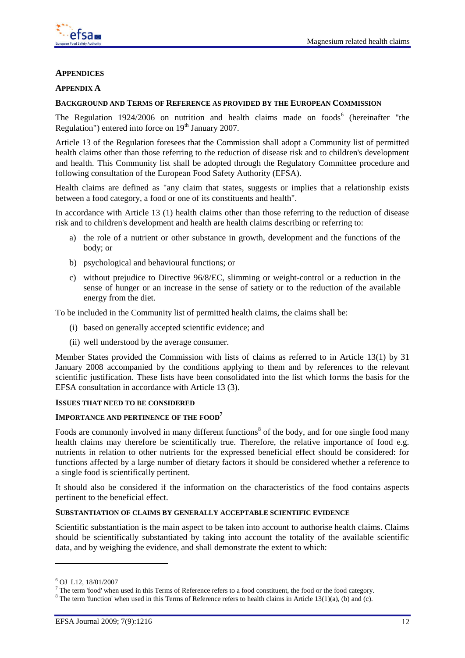## <span id="page-11-0"></span>**APPENDICES**

#### **APPENDIX A**

#### **BACKGROUND AND TERMS OF REFERENCE AS PROVIDED BY THE EUROPEAN COMMISSION**

The Regulation 1924/2006 on nutrition and health claims made on foods<sup>6</sup> (hereinafter "the Regulation") entered into force on  $19<sup>th</sup>$  January 2007.

Article 13 of the Regulation foresees that the Commission shall adopt a Community list of permitted health claims other than those referring to the reduction of disease risk and to children's development and health. This Community list shall be adopted through the Regulatory Committee procedure and following consultation of the European Food Safety Authority (EFSA).

Health claims are defined as "any claim that states, suggests or implies that a relationship exists between a food category, a food or one of its constituents and health".

In accordance with Article 13 (1) health claims other than those referring to the reduction of disease risk and to children's development and health are health claims describing or referring to:

- a) the role of a nutrient or other substance in growth, development and the functions of the body; or
- b) psychological and behavioural functions; or
- c) without prejudice to Directive 96/8/EC, slimming or weight-control or a reduction in the sense of hunger or an increase in the sense of satiety or to the reduction of the available energy from the diet.

To be included in the Community list of permitted health claims, the claims shall be:

- (i) based on generally accepted scientific evidence; and
- (ii) well understood by the average consumer.

Member States provided the Commission with lists of claims as referred to in Article 13(1) by 31 January 2008 accompanied by the conditions applying to them and by references to the relevant scientific justification. These lists have been consolidated into the list which forms the basis for the EFSA consultation in accordance with Article 13 (3).

#### **ISSUES THAT NEED TO BE CONSIDERED**

#### **IMPORTANCE AND PERTINENCE OF THE FOOD<sup>7</sup>**

Foods are commonly involved in many different functions<sup>8</sup> of the body, and for one single food many health claims may therefore be scientifically true. Therefore, the relative importance of food e.g. nutrients in relation to other nutrients for the expressed beneficial effect should be considered: for functions affected by a large number of dietary factors it should be considered whether a reference to a single food is scientifically pertinent.

It should also be considered if the information on the characteristics of the food contains aspects pertinent to the beneficial effect.

#### **SUBSTANTIATION OF CLAIMS BY GENERALLY ACCEPTABLE SCIENTIFIC EVIDENCE**

Scientific substantiation is the main aspect to be taken into account to authorise health claims. Claims should be scientifically substantiated by taking into account the totality of the available scientific data, and by weighing the evidence, and shall demonstrate the extent to which:

l

<sup>6</sup> OJ L12, 18/01/2007

<sup>&</sup>lt;sup>7</sup> The term 'food' when used in this Terms of Reference refers to a food constituent, the food or the food category.

 $8$  The term 'function' when used in this Terms of Reference refers to health claims in Article 13(1)(a), (b) and (c).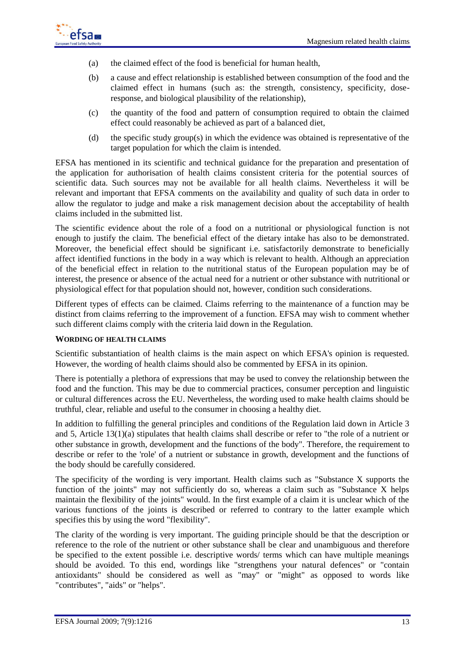

- (a) the claimed effect of the food is beneficial for human health,
- (b) a cause and effect relationship is established between consumption of the food and the claimed effect in humans (such as: the strength, consistency, specificity, doseresponse, and biological plausibility of the relationship),
- (c) the quantity of the food and pattern of consumption required to obtain the claimed effect could reasonably be achieved as part of a balanced diet,
- (d) the specific study group(s) in which the evidence was obtained is representative of the target population for which the claim is intended.

EFSA has mentioned in its scientific and technical guidance for the preparation and presentation of the application for authorisation of health claims consistent criteria for the potential sources of scientific data. Such sources may not be available for all health claims. Nevertheless it will be relevant and important that EFSA comments on the availability and quality of such data in order to allow the regulator to judge and make a risk management decision about the acceptability of health claims included in the submitted list.

The scientific evidence about the role of a food on a nutritional or physiological function is not enough to justify the claim. The beneficial effect of the dietary intake has also to be demonstrated. Moreover, the beneficial effect should be significant i.e. satisfactorily demonstrate to beneficially affect identified functions in the body in a way which is relevant to health. Although an appreciation of the beneficial effect in relation to the nutritional status of the European population may be of interest, the presence or absence of the actual need for a nutrient or other substance with nutritional or physiological effect for that population should not, however, condition such considerations.

Different types of effects can be claimed. Claims referring to the maintenance of a function may be distinct from claims referring to the improvement of a function. EFSA may wish to comment whether such different claims comply with the criteria laid down in the Regulation.

#### **WORDING OF HEALTH CLAIMS**

Scientific substantiation of health claims is the main aspect on which EFSA's opinion is requested. However, the wording of health claims should also be commented by EFSA in its opinion.

There is potentially a plethora of expressions that may be used to convey the relationship between the food and the function. This may be due to commercial practices, consumer perception and linguistic or cultural differences across the EU. Nevertheless, the wording used to make health claims should be truthful, clear, reliable and useful to the consumer in choosing a healthy diet.

In addition to fulfilling the general principles and conditions of the Regulation laid down in Article 3 and 5, Article 13(1)(a) stipulates that health claims shall describe or refer to "the role of a nutrient or other substance in growth, development and the functions of the body". Therefore, the requirement to describe or refer to the 'role' of a nutrient or substance in growth, development and the functions of the body should be carefully considered.

The specificity of the wording is very important. Health claims such as "Substance X supports the function of the joints" may not sufficiently do so, whereas a claim such as "Substance X helps maintain the flexibility of the joints" would. In the first example of a claim it is unclear which of the various functions of the joints is described or referred to contrary to the latter example which specifies this by using the word "flexibility".

The clarity of the wording is very important. The guiding principle should be that the description or reference to the role of the nutrient or other substance shall be clear and unambiguous and therefore be specified to the extent possible i.e. descriptive words/ terms which can have multiple meanings should be avoided. To this end, wordings like "strengthens your natural defences" or "contain antioxidants" should be considered as well as "may" or "might" as opposed to words like "contributes", "aids" or "helps".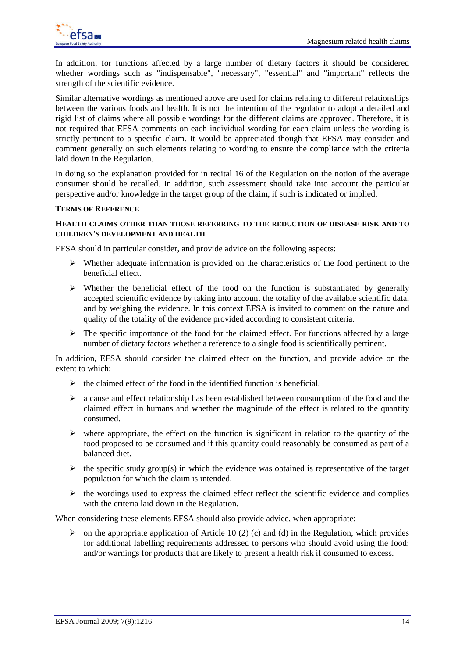In addition, for functions affected by a large number of dietary factors it should be considered whether wordings such as "indispensable", "necessary", "essential" and "important" reflects the strength of the scientific evidence.

Similar alternative wordings as mentioned above are used for claims relating to different relationships between the various foods and health. It is not the intention of the regulator to adopt a detailed and rigid list of claims where all possible wordings for the different claims are approved. Therefore, it is not required that EFSA comments on each individual wording for each claim unless the wording is strictly pertinent to a specific claim. It would be appreciated though that EFSA may consider and comment generally on such elements relating to wording to ensure the compliance with the criteria laid down in the Regulation.

In doing so the explanation provided for in recital 16 of the Regulation on the notion of the average consumer should be recalled. In addition, such assessment should take into account the particular perspective and/or knowledge in the target group of the claim, if such is indicated or implied.

## **TERMS OF REFERENCE**

etsam

### **HEALTH CLAIMS OTHER THAN THOSE REFERRING TO THE REDUCTION OF DISEASE RISK AND TO CHILDREN'S DEVELOPMENT AND HEALTH**

EFSA should in particular consider, and provide advice on the following aspects:

- $\triangleright$  Whether adequate information is provided on the characteristics of the food pertinent to the beneficial effect.
- $\triangleright$  Whether the beneficial effect of the food on the function is substantiated by generally accepted scientific evidence by taking into account the totality of the available scientific data, and by weighing the evidence. In this context EFSA is invited to comment on the nature and quality of the totality of the evidence provided according to consistent criteria.
- $\triangleright$  The specific importance of the food for the claimed effect. For functions affected by a large number of dietary factors whether a reference to a single food is scientifically pertinent.

In addition, EFSA should consider the claimed effect on the function, and provide advice on the extent to which:

- $\triangleright$  the claimed effect of the food in the identified function is beneficial.
- $\triangleright$  a cause and effect relationship has been established between consumption of the food and the claimed effect in humans and whether the magnitude of the effect is related to the quantity consumed.
- $\triangleright$  where appropriate, the effect on the function is significant in relation to the quantity of the food proposed to be consumed and if this quantity could reasonably be consumed as part of a balanced diet.
- $\triangleright$  the specific study group(s) in which the evidence was obtained is representative of the target population for which the claim is intended.
- $\triangleright$  the wordings used to express the claimed effect reflect the scientific evidence and complies with the criteria laid down in the Regulation.

When considering these elements EFSA should also provide advice, when appropriate:

 $\triangleright$  on the appropriate application of Article 10 (2) (c) and (d) in the Regulation, which provides for additional labelling requirements addressed to persons who should avoid using the food; and/or warnings for products that are likely to present a health risk if consumed to excess.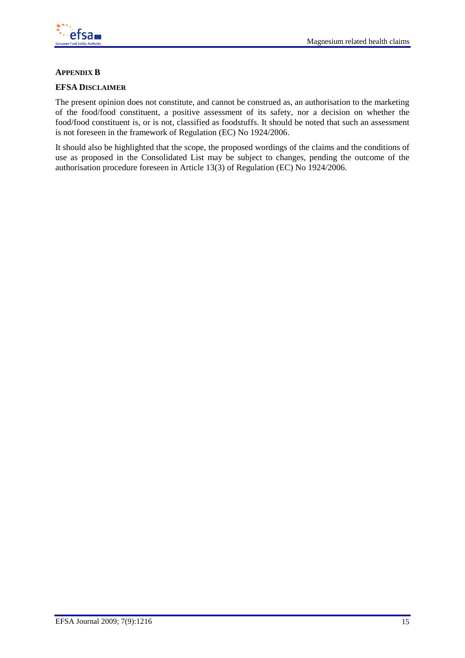

## **APPENDIX B**

## **EFSA DISCLAIMER**

The present opinion does not constitute, and cannot be construed as, an authorisation to the marketing of the food/food constituent, a positive assessment of its safety, nor a decision on whether the food/food constituent is, or is not, classified as foodstuffs. It should be noted that such an assessment is not foreseen in the framework of Regulation (EC) No 1924/2006.

It should also be highlighted that the scope, the proposed wordings of the claims and the conditions of use as proposed in the Consolidated List may be subject to changes, pending the outcome of the authorisation procedure foreseen in Article 13(3) of Regulation (EC) No 1924/2006.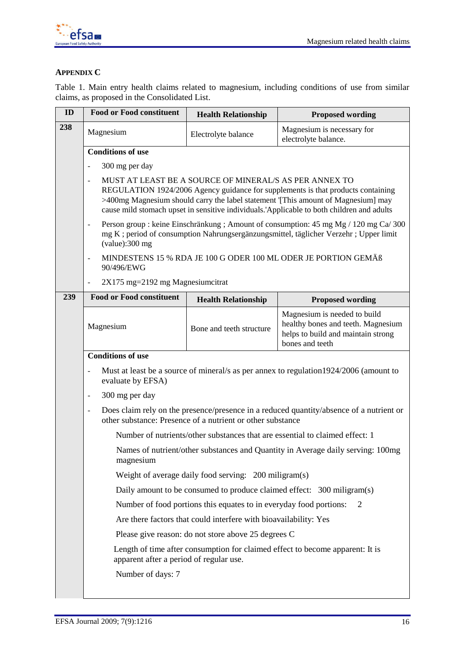

## **APPENDIX C**

Table 1. Main entry health claims related to magnesium, including conditions of use from similar claims, as proposed in the Consolidated List.

| ID  | <b>Food or Food constituent</b>                                                                                                                                                                                                                                                                                                                                                                                                                                                                                                                                                                                                                                                            | <b>Health Relationship</b>                          | <b>Proposed wording</b>                                                                                                     |  |
|-----|--------------------------------------------------------------------------------------------------------------------------------------------------------------------------------------------------------------------------------------------------------------------------------------------------------------------------------------------------------------------------------------------------------------------------------------------------------------------------------------------------------------------------------------------------------------------------------------------------------------------------------------------------------------------------------------------|-----------------------------------------------------|-----------------------------------------------------------------------------------------------------------------------------|--|
| 238 | Magnesium                                                                                                                                                                                                                                                                                                                                                                                                                                                                                                                                                                                                                                                                                  | Electrolyte balance                                 | Magnesium is necessary for<br>electrolyte balance.                                                                          |  |
|     | <b>Conditions of use</b><br>300 mg per day<br>-<br>MUST AT LEAST BE A SOURCE OF MINERAL/S AS PER ANNEX TO<br>REGULATION 1924/2006 Agency guidance for supplements is that products containing<br>>400mg Magnesium should carry the label statement '[This amount of Magnesium] may<br>cause mild stomach upset in sensitive individuals.'Applicable to both children and adults<br>Person group : keine Einschränkung ; Amount of consumption: 45 mg Mg / 120 mg Ca/ 300<br>÷,<br>mg K; period of consumption Nahrungsergänzungsmittel, täglicher Verzehr; Upper limit<br>(value):300 mg<br>MINDESTENS 15 % RDA JE 100 G ODER 100 ML ODER JE PORTION GEMÄß<br>$\overline{a}$<br>90/496/EWG |                                                     |                                                                                                                             |  |
|     |                                                                                                                                                                                                                                                                                                                                                                                                                                                                                                                                                                                                                                                                                            |                                                     |                                                                                                                             |  |
|     |                                                                                                                                                                                                                                                                                                                                                                                                                                                                                                                                                                                                                                                                                            |                                                     |                                                                                                                             |  |
|     |                                                                                                                                                                                                                                                                                                                                                                                                                                                                                                                                                                                                                                                                                            |                                                     |                                                                                                                             |  |
|     |                                                                                                                                                                                                                                                                                                                                                                                                                                                                                                                                                                                                                                                                                            |                                                     |                                                                                                                             |  |
|     | 2X175 mg=2192 mg Magnesiumcitrat                                                                                                                                                                                                                                                                                                                                                                                                                                                                                                                                                                                                                                                           |                                                     |                                                                                                                             |  |
| 239 | <b>Food or Food constituent</b>                                                                                                                                                                                                                                                                                                                                                                                                                                                                                                                                                                                                                                                            | <b>Health Relationship</b>                          | <b>Proposed wording</b>                                                                                                     |  |
|     | Magnesium                                                                                                                                                                                                                                                                                                                                                                                                                                                                                                                                                                                                                                                                                  | Bone and teeth structure                            | Magnesium is needed to build<br>healthy bones and teeth. Magnesium<br>helps to build and maintain strong<br>bones and teeth |  |
|     | <b>Conditions of use</b><br>Must at least be a source of mineral/s as per annex to regulation 1924/2006 (amount to<br>÷,<br>evaluate by EFSA)<br>300 mg per day<br>÷<br>Does claim rely on the presence/presence in a reduced quantity/absence of a nutrient or<br>÷<br>other substance: Presence of a nutrient or other substance                                                                                                                                                                                                                                                                                                                                                         |                                                     |                                                                                                                             |  |
|     |                                                                                                                                                                                                                                                                                                                                                                                                                                                                                                                                                                                                                                                                                            |                                                     |                                                                                                                             |  |
|     |                                                                                                                                                                                                                                                                                                                                                                                                                                                                                                                                                                                                                                                                                            |                                                     |                                                                                                                             |  |
|     |                                                                                                                                                                                                                                                                                                                                                                                                                                                                                                                                                                                                                                                                                            |                                                     |                                                                                                                             |  |
|     | Number of nutrients/other substances that are essential to claimed effect: 1<br>Names of nutrient/other substances and Quantity in Average daily serving: 100mg<br>magnesium<br>Weight of average daily food serving: 200 miligram(s)<br>Daily amount to be consumed to produce claimed effect: 300 miligram(s)<br>Number of food portions this equates to in everyday food portions:<br>2<br>Are there factors that could interfere with bioavailability: Yes                                                                                                                                                                                                                             |                                                     |                                                                                                                             |  |
|     |                                                                                                                                                                                                                                                                                                                                                                                                                                                                                                                                                                                                                                                                                            |                                                     |                                                                                                                             |  |
|     |                                                                                                                                                                                                                                                                                                                                                                                                                                                                                                                                                                                                                                                                                            |                                                     |                                                                                                                             |  |
|     |                                                                                                                                                                                                                                                                                                                                                                                                                                                                                                                                                                                                                                                                                            |                                                     |                                                                                                                             |  |
|     |                                                                                                                                                                                                                                                                                                                                                                                                                                                                                                                                                                                                                                                                                            |                                                     |                                                                                                                             |  |
|     |                                                                                                                                                                                                                                                                                                                                                                                                                                                                                                                                                                                                                                                                                            |                                                     |                                                                                                                             |  |
|     |                                                                                                                                                                                                                                                                                                                                                                                                                                                                                                                                                                                                                                                                                            | Please give reason: do not store above 25 degrees C |                                                                                                                             |  |
|     | Length of time after consumption for claimed effect to become apparent: It is<br>apparent after a period of regular use.<br>Number of days: 7                                                                                                                                                                                                                                                                                                                                                                                                                                                                                                                                              |                                                     |                                                                                                                             |  |
|     |                                                                                                                                                                                                                                                                                                                                                                                                                                                                                                                                                                                                                                                                                            |                                                     |                                                                                                                             |  |
|     |                                                                                                                                                                                                                                                                                                                                                                                                                                                                                                                                                                                                                                                                                            |                                                     |                                                                                                                             |  |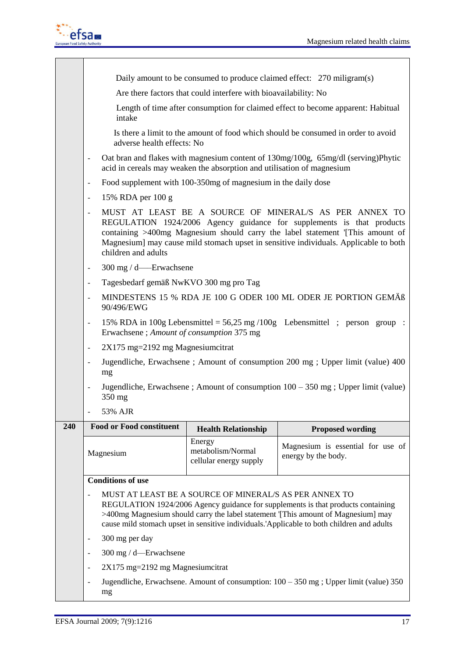

|     | Daily amount to be consumed to produce claimed effect: 270 miligram(s)                                                                                                                                                                                                                                                                                   |                                                                                                                                                             |                                             |                                                          |  |
|-----|----------------------------------------------------------------------------------------------------------------------------------------------------------------------------------------------------------------------------------------------------------------------------------------------------------------------------------------------------------|-------------------------------------------------------------------------------------------------------------------------------------------------------------|---------------------------------------------|----------------------------------------------------------|--|
|     | Are there factors that could interfere with bioavailability: No                                                                                                                                                                                                                                                                                          |                                                                                                                                                             |                                             |                                                          |  |
|     | Length of time after consumption for claimed effect to become apparent: Habitual<br>intake                                                                                                                                                                                                                                                               |                                                                                                                                                             |                                             |                                                          |  |
|     |                                                                                                                                                                                                                                                                                                                                                          | Is there a limit to the amount of food which should be consumed in order to avoid<br>adverse health effects: No                                             |                                             |                                                          |  |
|     | $\blacksquare$                                                                                                                                                                                                                                                                                                                                           | Oat bran and flakes with magnesium content of 130mg/100g, 65mg/dl (serving)Phytic<br>acid in cereals may weaken the absorption and utilisation of magnesium |                                             |                                                          |  |
|     | Food supplement with 100-350mg of magnesium in the daily dose                                                                                                                                                                                                                                                                                            |                                                                                                                                                             |                                             |                                                          |  |
|     | 15% RDA per 100 g<br>$\qquad \qquad \blacksquare$                                                                                                                                                                                                                                                                                                        |                                                                                                                                                             |                                             |                                                          |  |
|     | MUST AT LEAST BE A SOURCE OF MINERAL/S AS PER ANNEX TO<br>$\overline{a}$<br>REGULATION 1924/2006 Agency guidance for supplements is that products<br>containing >400mg Magnesium should carry the label statement '[This amount of<br>Magnesium] may cause mild stomach upset in sensitive individuals. Applicable to both<br>children and adults        |                                                                                                                                                             |                                             |                                                          |  |
|     | 300 mg / d——Erwachsene<br>$\qquad \qquad \blacksquare$                                                                                                                                                                                                                                                                                                   |                                                                                                                                                             |                                             |                                                          |  |
|     | Tagesbedarf gemäß NwKVO 300 mg pro Tag<br>$\overline{\phantom{0}}$                                                                                                                                                                                                                                                                                       |                                                                                                                                                             |                                             |                                                          |  |
|     | MINDESTENS 15 % RDA JE 100 G ODER 100 ML ODER JE PORTION GEMÄß<br>$\blacksquare$<br>90/496/EWG                                                                                                                                                                                                                                                           |                                                                                                                                                             |                                             |                                                          |  |
|     | 15% RDA in 100g Lebensmittel = $56,25$ mg /100g Lebensmittel ; person group :<br>÷,<br>Erwachsene; Amount of consumption 375 mg                                                                                                                                                                                                                          |                                                                                                                                                             |                                             |                                                          |  |
|     | 2X175 mg=2192 mg Magnesiumcitrat<br>$\qquad \qquad \blacksquare$                                                                                                                                                                                                                                                                                         |                                                                                                                                                             |                                             |                                                          |  |
|     | Jugendliche, Erwachsene; Amount of consumption 200 mg; Upper limit (value) 400<br>$\blacksquare$<br>mg                                                                                                                                                                                                                                                   |                                                                                                                                                             |                                             |                                                          |  |
|     | 350 mg                                                                                                                                                                                                                                                                                                                                                   | Jugendliche, Erwachsene; Amount of consumption $100 - 350$ mg; Upper limit (value)                                                                          |                                             |                                                          |  |
|     | 53% AJR                                                                                                                                                                                                                                                                                                                                                  |                                                                                                                                                             |                                             |                                                          |  |
| 240 | <b>Food or Food constituent</b>                                                                                                                                                                                                                                                                                                                          |                                                                                                                                                             | <b>Health Relationship</b>                  | <b>Proposed wording</b>                                  |  |
|     | Magnesium                                                                                                                                                                                                                                                                                                                                                | Energy                                                                                                                                                      | metabolism/Normal<br>cellular energy supply | Magnesium is essential for use of<br>energy by the body. |  |
|     | <b>Conditions of use</b>                                                                                                                                                                                                                                                                                                                                 |                                                                                                                                                             |                                             |                                                          |  |
|     | MUST AT LEAST BE A SOURCE OF MINERAL/S AS PER ANNEX TO<br>$\overline{\phantom{0}}$<br>REGULATION 1924/2006 Agency guidance for supplements is that products containing<br>>400mg Magnesium should carry the label statement '[This amount of Magnesium] may<br>cause mild stomach upset in sensitive individuals.'Applicable to both children and adults |                                                                                                                                                             |                                             |                                                          |  |
|     | 300 mg per day<br>۰                                                                                                                                                                                                                                                                                                                                      |                                                                                                                                                             |                                             |                                                          |  |
|     | 300 mg / d-Erwachsene                                                                                                                                                                                                                                                                                                                                    |                                                                                                                                                             |                                             |                                                          |  |
|     |                                                                                                                                                                                                                                                                                                                                                          | 2X175 mg=2192 mg Magnesiumcitrat                                                                                                                            |                                             |                                                          |  |
|     | Jugendliche, Erwachsene. Amount of consumption: $100 - 350$ mg; Upper limit (value) 350<br>mg                                                                                                                                                                                                                                                            |                                                                                                                                                             |                                             |                                                          |  |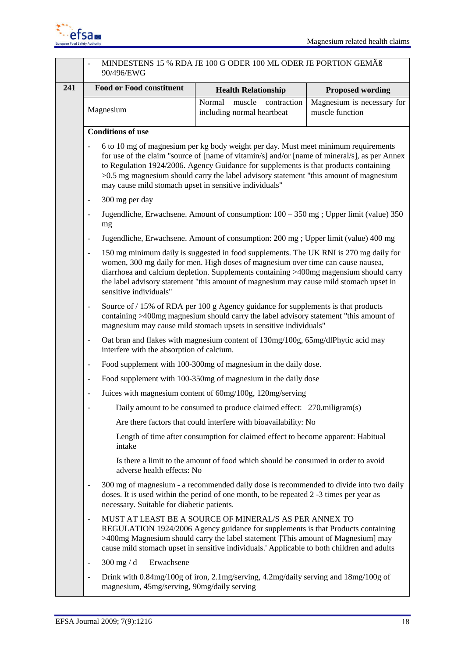

|                                                                                                                                                                                                                                                                                                                                                                                                                                                                                | MINDESTENS 15 % RDA JE 100 G ODER 100 ML ODER JE PORTION GEMÄß<br>90/496/EWG                                                                                                                                                                                                                                                                                                                                                    |                                                                                     |                                               |  |  |
|--------------------------------------------------------------------------------------------------------------------------------------------------------------------------------------------------------------------------------------------------------------------------------------------------------------------------------------------------------------------------------------------------------------------------------------------------------------------------------|---------------------------------------------------------------------------------------------------------------------------------------------------------------------------------------------------------------------------------------------------------------------------------------------------------------------------------------------------------------------------------------------------------------------------------|-------------------------------------------------------------------------------------|-----------------------------------------------|--|--|
| 241                                                                                                                                                                                                                                                                                                                                                                                                                                                                            | <b>Food or Food constituent</b>                                                                                                                                                                                                                                                                                                                                                                                                 | <b>Health Relationship</b>                                                          | <b>Proposed wording</b>                       |  |  |
|                                                                                                                                                                                                                                                                                                                                                                                                                                                                                | Magnesium                                                                                                                                                                                                                                                                                                                                                                                                                       | Normal<br>muscle<br>contraction<br>including normal heartbeat                       | Magnesium is necessary for<br>muscle function |  |  |
|                                                                                                                                                                                                                                                                                                                                                                                                                                                                                | <b>Conditions of use</b>                                                                                                                                                                                                                                                                                                                                                                                                        |                                                                                     |                                               |  |  |
|                                                                                                                                                                                                                                                                                                                                                                                                                                                                                | 6 to 10 mg of magnesium per kg body weight per day. Must meet minimum requirements<br>for use of the claim "source of [name of vitamin/s] and/or [name of mineral/s], as per Annex<br>to Regulation 1924/2006. Agency Guidance for supplements is that products containing<br>$>0.5$ mg magnesium should carry the label advisory statement "this amount of magnesium<br>may cause mild stomach upset in sensitive individuals" |                                                                                     |                                               |  |  |
|                                                                                                                                                                                                                                                                                                                                                                                                                                                                                | 300 mg per day                                                                                                                                                                                                                                                                                                                                                                                                                  |                                                                                     |                                               |  |  |
| Jugendliche, Erwachsene. Amount of consumption: $100 - 350$ mg; Upper limit (value) 350<br>mg                                                                                                                                                                                                                                                                                                                                                                                  |                                                                                                                                                                                                                                                                                                                                                                                                                                 |                                                                                     |                                               |  |  |
|                                                                                                                                                                                                                                                                                                                                                                                                                                                                                |                                                                                                                                                                                                                                                                                                                                                                                                                                 | Jugendliche, Erwachsene. Amount of consumption: 200 mg; Upper limit (value) 400 mg  |                                               |  |  |
|                                                                                                                                                                                                                                                                                                                                                                                                                                                                                | 150 mg minimum daily is suggested in food supplements. The UK RNI is 270 mg daily for<br>women, 300 mg daily for men. High doses of magnesium over time can cause nausea,<br>diarrhoea and calcium depletion. Supplements containing >400mg magensium should carry<br>the label advisory statement "this amount of magnesium may cause mild stomach upset in<br>sensitive individuals"                                          |                                                                                     |                                               |  |  |
| Source of / 15% of RDA per 100 g Agency guidance for supplements is that products<br>containing >400mg magnesium should carry the label advisory statement "this amount of<br>magnesium may cause mild stomach upsets in sensitive individuals"<br>Oat bran and flakes with magnesium content of 130mg/100g, 65mg/dlPhytic acid may<br>$\overline{\phantom{a}}$<br>interfere with the absorption of calcium.<br>Food supplement with 100-300mg of magnesium in the daily dose. |                                                                                                                                                                                                                                                                                                                                                                                                                                 |                                                                                     |                                               |  |  |
|                                                                                                                                                                                                                                                                                                                                                                                                                                                                                |                                                                                                                                                                                                                                                                                                                                                                                                                                 |                                                                                     |                                               |  |  |
|                                                                                                                                                                                                                                                                                                                                                                                                                                                                                |                                                                                                                                                                                                                                                                                                                                                                                                                                 |                                                                                     |                                               |  |  |
|                                                                                                                                                                                                                                                                                                                                                                                                                                                                                |                                                                                                                                                                                                                                                                                                                                                                                                                                 | Food supplement with 100-350mg of magnesium in the daily dose                       |                                               |  |  |
|                                                                                                                                                                                                                                                                                                                                                                                                                                                                                |                                                                                                                                                                                                                                                                                                                                                                                                                                 | Juices with magnesium content of 60mg/100g, 120mg/serving                           |                                               |  |  |
|                                                                                                                                                                                                                                                                                                                                                                                                                                                                                |                                                                                                                                                                                                                                                                                                                                                                                                                                 | Daily amount to be consumed to produce claimed effect: 270.miligram(s)              |                                               |  |  |
|                                                                                                                                                                                                                                                                                                                                                                                                                                                                                |                                                                                                                                                                                                                                                                                                                                                                                                                                 | Are there factors that could interfere with bioavailability: No                     |                                               |  |  |
| Length of time after consumption for claimed effect to become apparent: Habitual<br>intake                                                                                                                                                                                                                                                                                                                                                                                     |                                                                                                                                                                                                                                                                                                                                                                                                                                 |                                                                                     |                                               |  |  |
|                                                                                                                                                                                                                                                                                                                                                                                                                                                                                | adverse health effects: No                                                                                                                                                                                                                                                                                                                                                                                                      | Is there a limit to the amount of food which should be consumed in order to avoid   |                                               |  |  |
|                                                                                                                                                                                                                                                                                                                                                                                                                                                                                | 300 mg of magnesium - a recommended daily dose is recommended to divide into two daily<br>doses. It is used within the period of one month, to be repeated 2 -3 times per year as<br>necessary. Suitable for diabetic patients.                                                                                                                                                                                                 |                                                                                     |                                               |  |  |
|                                                                                                                                                                                                                                                                                                                                                                                                                                                                                | MUST AT LEAST BE A SOURCE OF MINERAL/S AS PER ANNEX TO<br>$\overline{\phantom{a}}$<br>REGULATION 1924/2006 Agency guidance for supplements is that Products containing<br>>400mg Magnesium should carry the label statement '[This amount of Magnesium] may<br>cause mild stomach upset in sensitive individuals.' Applicable to both children and adults                                                                       |                                                                                     |                                               |  |  |
|                                                                                                                                                                                                                                                                                                                                                                                                                                                                                | 300 mg / d—Erwachsene                                                                                                                                                                                                                                                                                                                                                                                                           |                                                                                     |                                               |  |  |
|                                                                                                                                                                                                                                                                                                                                                                                                                                                                                | magnesium, 45mg/serving, 90mg/daily serving                                                                                                                                                                                                                                                                                                                                                                                     | Drink with 0.84mg/100g of iron, 2.1mg/serving, 4.2mg/daily serving and 18mg/100g of |                                               |  |  |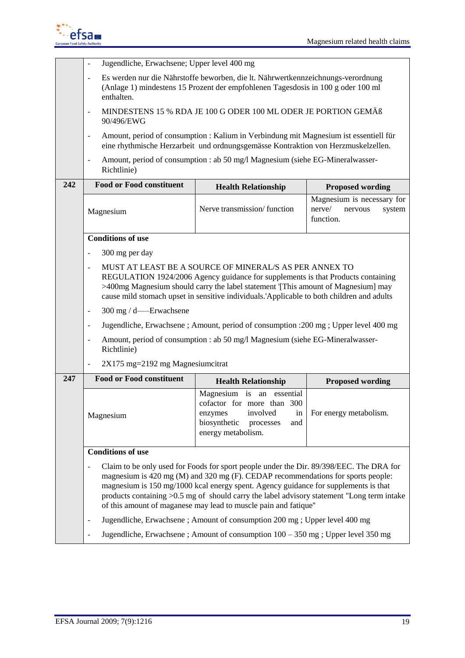

|     | Jugendliche, Erwachsene; Upper level 400 mg                                                                                                                                                                                                                                                                                                                                                                                                           |                                                                                                                                                                            |                                                                        |  |  |
|-----|-------------------------------------------------------------------------------------------------------------------------------------------------------------------------------------------------------------------------------------------------------------------------------------------------------------------------------------------------------------------------------------------------------------------------------------------------------|----------------------------------------------------------------------------------------------------------------------------------------------------------------------------|------------------------------------------------------------------------|--|--|
|     | $\overline{\phantom{a}}$                                                                                                                                                                                                                                                                                                                                                                                                                              |                                                                                                                                                                            |                                                                        |  |  |
|     | Es werden nur die Nährstoffe beworben, die lt. Nährwertkennzeichnungs-verordnung<br>$\overline{\phantom{a}}$<br>(Anlage 1) mindestens 15 Prozent der empfohlenen Tagesdosis in 100 g oder 100 ml<br>enthalten.                                                                                                                                                                                                                                        |                                                                                                                                                                            |                                                                        |  |  |
|     | $\overline{\phantom{a}}$<br>90/496/EWG                                                                                                                                                                                                                                                                                                                                                                                                                | MINDESTENS 15 % RDA JE 100 G ODER 100 ML ODER JE PORTION GEMÄß                                                                                                             |                                                                        |  |  |
|     | $\overline{\phantom{a}}$                                                                                                                                                                                                                                                                                                                                                                                                                              | Amount, period of consumption : Kalium in Verbindung mit Magnesium ist essentiell für<br>eine rhythmische Herzarbeit und ordnungsgemässe Kontraktion von Herzmuskelzellen. |                                                                        |  |  |
|     | Amount, period of consumption : ab 50 mg/l Magnesium (siehe EG-Mineralwasser-<br>Richtlinie)                                                                                                                                                                                                                                                                                                                                                          |                                                                                                                                                                            |                                                                        |  |  |
| 242 | <b>Food or Food constituent</b>                                                                                                                                                                                                                                                                                                                                                                                                                       | <b>Health Relationship</b><br><b>Proposed wording</b>                                                                                                                      |                                                                        |  |  |
|     | Magnesium                                                                                                                                                                                                                                                                                                                                                                                                                                             | Nerve transmission/function                                                                                                                                                | Magnesium is necessary for<br>nerve/<br>nervous<br>system<br>function. |  |  |
|     | <b>Conditions of use</b>                                                                                                                                                                                                                                                                                                                                                                                                                              |                                                                                                                                                                            |                                                                        |  |  |
|     | 300 mg per day                                                                                                                                                                                                                                                                                                                                                                                                                                        |                                                                                                                                                                            |                                                                        |  |  |
|     | MUST AT LEAST BE A SOURCE OF MINERAL/S AS PER ANNEX TO<br>REGULATION 1924/2006 Agency guidance for supplements is that Products containing<br>>400mg Magnesium should carry the label statement '[This amount of Magnesium] may<br>cause mild stomach upset in sensitive individuals.'Applicable to both children and adults                                                                                                                          |                                                                                                                                                                            |                                                                        |  |  |
|     | 300 mg / d—Erwachsene<br>$\overline{\phantom{a}}$                                                                                                                                                                                                                                                                                                                                                                                                     |                                                                                                                                                                            |                                                                        |  |  |
|     |                                                                                                                                                                                                                                                                                                                                                                                                                                                       | Jugendliche, Erwachsene ; Amount, period of consumption : 200 mg ; Upper level 400 mg                                                                                      |                                                                        |  |  |
|     | Amount, period of consumption : ab 50 mg/l Magnesium (siehe EG-Mineralwasser-<br>÷,<br>Richtlinie)                                                                                                                                                                                                                                                                                                                                                    |                                                                                                                                                                            |                                                                        |  |  |
|     | 2X175 mg=2192 mg Magnesiumcitrat<br>$\overline{\phantom{a}}$                                                                                                                                                                                                                                                                                                                                                                                          |                                                                                                                                                                            |                                                                        |  |  |
| 247 | <b>Food or Food constituent</b>                                                                                                                                                                                                                                                                                                                                                                                                                       | <b>Health Relationship</b>                                                                                                                                                 | <b>Proposed wording</b>                                                |  |  |
|     | Magnesium                                                                                                                                                                                                                                                                                                                                                                                                                                             | Magnesium is an essential<br>cofactor for more than 300<br>involved<br>enzymes<br>in<br>biosynthetic<br>processes<br>and<br>energy metabolism.                             | For energy metabolism.                                                 |  |  |
|     | <b>Conditions of use</b>                                                                                                                                                                                                                                                                                                                                                                                                                              |                                                                                                                                                                            |                                                                        |  |  |
|     | Claim to be only used for Foods for sport people under the Dir. 89/398/EEC. The DRA for<br>$\overline{a}$<br>magnesium is 420 mg (M) and 320 mg (F). CEDAP recommendations for sports people:<br>magnesium is 150 mg/1000 kcal energy spent. Agency guidance for supplements is that<br>products containing >0.5 mg of should carry the label advisory statement "Long term intake<br>of this amount of maganese may lead to muscle pain and fatique" |                                                                                                                                                                            |                                                                        |  |  |
|     | Jugendliche, Erwachsene; Amount of consumption 200 mg; Upper level 400 mg<br>$\overline{\phantom{a}}$                                                                                                                                                                                                                                                                                                                                                 |                                                                                                                                                                            |                                                                        |  |  |
|     | Jugendliche, Erwachsene; Amount of consumption $100 - 350$ mg; Upper level 350 mg<br>$\overline{a}$                                                                                                                                                                                                                                                                                                                                                   |                                                                                                                                                                            |                                                                        |  |  |